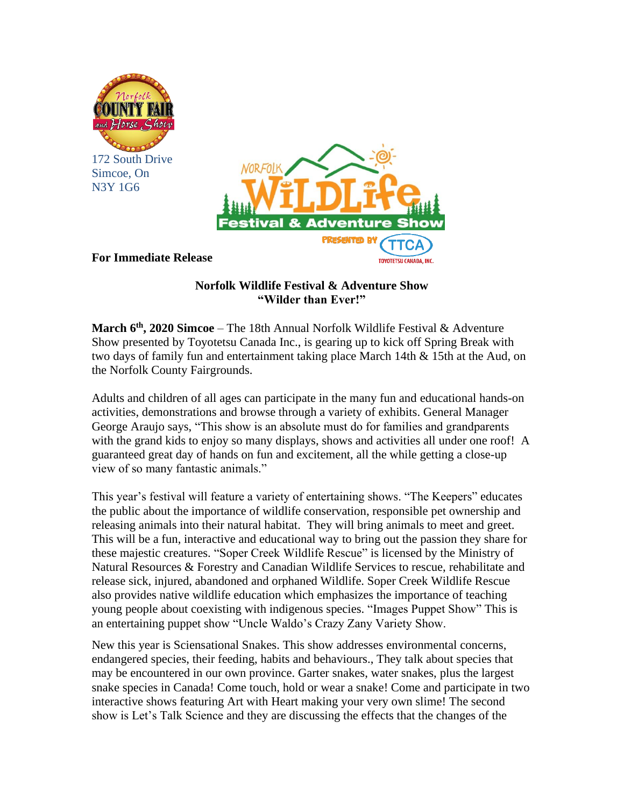

Simcoe, On N3Y 1G6

**For Immediate Release**



## **Norfolk Wildlife Festival & Adventure Show**

**"Wilder than Ever!"**

**March 6 th , 2020 Simcoe** – The 18th Annual Norfolk Wildlife Festival & Adventure Show presented by Toyotetsu Canada Inc., is gearing up to kick off Spring Break with two days of family fun and entertainment taking place March 14th & 15th at the Aud, on the Norfolk County Fairgrounds.

Adults and children of all ages can participate in the many fun and educational hands-on activities, demonstrations and browse through a variety of exhibits. General Manager George Araujo says, "This show is an absolute must do for families and grandparents with the grand kids to enjoy so many displays, shows and activities all under one roof! A guaranteed great day of hands on fun and excitement, all the while getting a close-up view of so many fantastic animals."

This year's festival will feature a variety of entertaining shows. "The Keepers" educates the public about the importance of wildlife conservation, responsible pet ownership and releasing animals into their natural habitat. They will bring animals to meet and greet. This will be a fun, interactive and educational way to bring out the passion they share for these majestic creatures. "Soper Creek Wildlife Rescue" is licensed by the Ministry of Natural Resources & Forestry and Canadian Wildlife Services to rescue, rehabilitate and release sick, injured, abandoned and orphaned Wildlife. Soper Creek Wildlife Rescue also provides native wildlife education which emphasizes the importance of teaching young people about coexisting with indigenous species. "Images Puppet Show" This is an entertaining puppet show "Uncle Waldo's Crazy Zany Variety Show.

New this year is Sciensational Snakes. This show addresses environmental concerns, endangered species, their feeding, habits and behaviours., They talk about species that may be encountered in our own province. Garter snakes, water snakes, plus the largest snake species in Canada! Come touch, hold or wear a snake! Come and participate in two interactive shows featuring Art with Heart making your very own slime! The second show is Let's Talk Science and they are discussing the effects that the changes of the